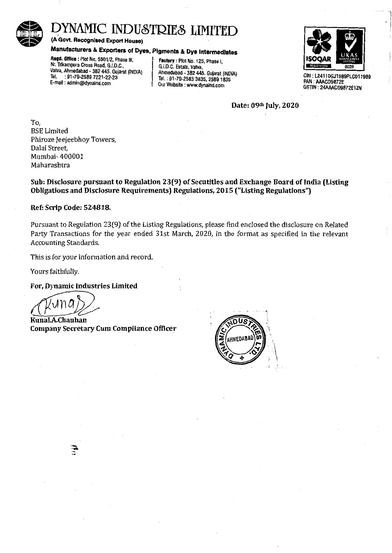

# DYNAMIC INDUSTRIES LIMITED<br>(A Govt. Recognised Export House)<br>Manufacturers & Exporters of Dyes, Pigments & Dye Intermediates<br>Regd. Office : Plot No. 5501/2, Phase III,<br>Nr. Trikampura Cross Road, G.I.D.C.,<br>G.I.D.C. Estate,

(A Govt. Recognised Export House)

# Manufacturers & Exporters of Dyes, Pigments & Dye Intermediates

Regd. Office : Plot No. 5501/2, Phase III, Nr. Trikampura Cross Road, G.I.D.C., Chr. C.C., C. Estate, Vatva, Vatva, Vatva, Vatva, Vatva, Vatva, Vatva, G.I.D.C. Estate, Vatva, Vatva, Vatva, Vatva, G.I.D.C. Estate, Vatva, Vatva, Vatva, Vatva, Vatva, Vatva, Vatva, Vat Vatva, Ahmedabad - 382 445. Gujarat (INDIA)<br>Tel. : 91-79-2589 7221-22-23 Tel. : 91-79-2589 7221-22-23<br>
E-mail: admin@dynaind.com (Dur Website : www.dynaind.com

Our Website : www.dynaind.com



GIN: L24110GJ1989PLC011989 PAN : AAACD9872E GSTIN: 24AAACD9872E1ZN

Date: 09th July, 2020

To, BSE Limited Phiroze Jeejeebhoy Towers, Dalal Street, Mumbai- 400001 Maharashtra

Sub: Disclosure pursuant to Regulation 23(9) of Secutitles and Exchange Board of India (Listing Obligations and Disclosure Requirements) Regulations, 2015 ("Listing Regulations")

#### Ref: Scrip Code: 524818.

Pursuant to Regulation 23(9) of the Listing Regulations, please find enclosed the disclosure on Related Party Transactions for the year ended 31st March, 2020, in the format as specified in the relevant Accounting Standards.

This is for your information and record.

Yours faithfully.

#### For, Dynamic Industries Limited

Kunal.A.Chauhan Company Secretary Cum Compliance Officer

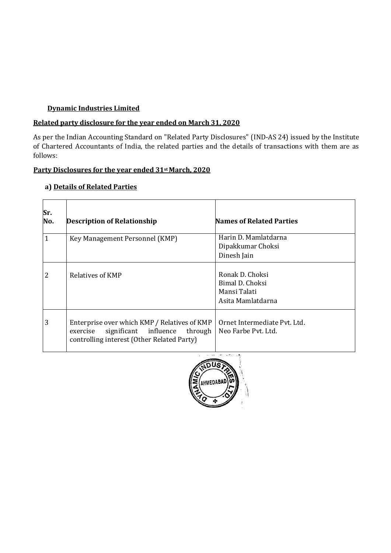## **Dynamic Industries Limited**

#### **Related party disclosure for the year ended on March 31, 2020**

As per the Indian Accounting Standard on "Related Party Disclosures" (IND-AS 24) issued by the Institute of Chartered Accountants of India, the related parties and the details of transactions with them are as follows:

#### **Party Disclosures for the year ended 31stMarch, 2020**

| Sr.<br>No.   | <b>Description of Relationship</b>                                                                                                         | <b>Names of Related Parties</b>                                         |
|--------------|--------------------------------------------------------------------------------------------------------------------------------------------|-------------------------------------------------------------------------|
| $\mathbf{1}$ | Key Management Personnel (KMP)                                                                                                             | Harin D. Mamlatdarna<br>Dipakkumar Choksi<br>Dinesh Jain                |
| 2            | Relatives of KMP                                                                                                                           | Ronak D. Choksi<br>Bimal D. Choksi<br>Mansi Talati<br>Asita Mamlatdarna |
| 3            | Enterprise over which KMP / Relatives of KMP<br>through<br>significant influence<br>exercise<br>controlling interest (Other Related Party) | Ornet Intermediate Pvt. Ltd.<br>Neo Farbe Pyt. Ltd.                     |

#### **a) Details of Related Parties**

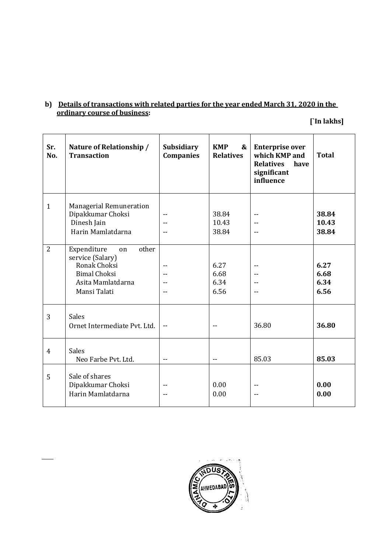### **b) Details of transactions with related parties for the year ended March 31, 2020 in the ordinary course of business:**

**[`In lakhs]**

| Sr.<br>No.     | Nature of Relationship /<br><b>Transaction</b>                                                                             | <b>Subsidiary</b><br><b>Companies</b> | <b>KMP</b><br>&<br><b>Relatives</b> | <b>Enterprise over</b><br>which KMP and<br><b>Relatives</b><br>have<br>significant<br>influence | <b>Total</b>                 |
|----------------|----------------------------------------------------------------------------------------------------------------------------|---------------------------------------|-------------------------------------|-------------------------------------------------------------------------------------------------|------------------------------|
| $\mathbf{1}$   | Managerial Remuneration<br>Dipakkumar Choksi<br>Dinesh Jain<br>Harin Mamlatdarna                                           | $-$<br>$-$<br>$-$                     | 38.84<br>10.43<br>38.84             | $-$<br>$-$                                                                                      | 38.84<br>10.43<br>38.84      |
| $\overline{2}$ | other<br>Expenditure<br>on<br>service (Salary)<br>Ronak Choksi<br><b>Bimal Choksi</b><br>Asita Mamlatdarna<br>Mansi Talati | --<br>$-$<br>$-$<br>$\overline{a}$    | 6.27<br>6.68<br>6.34<br>6.56        | --<br>$-$<br>$-$                                                                                | 6.27<br>6.68<br>6.34<br>6.56 |
| 3              | <b>Sales</b><br>Ornet Intermediate Pvt. Ltd.                                                                               | $\sim$ $\sim$                         |                                     | 36.80                                                                                           | 36.80                        |
| 4              | <b>Sales</b><br>Neo Farbe Pvt. Ltd.                                                                                        | $- -$                                 | $-$                                 | 85.03                                                                                           | 85.03                        |
| 5              | Sale of shares<br>Dipakkumar Choksi<br>Harin Mamlatdarna                                                                   | --<br>$-$                             | 0.00<br>0.00                        | --                                                                                              | 0.00<br>0.00                 |